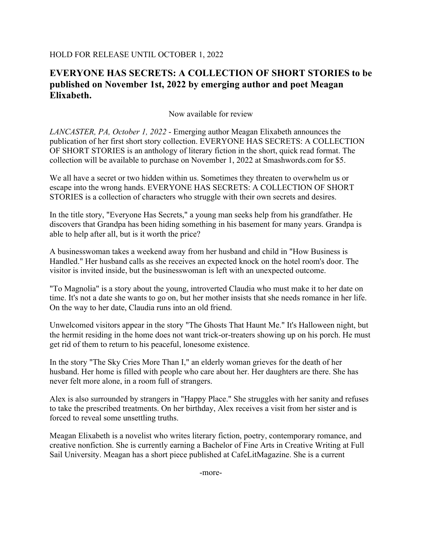## HOLD FOR RELEASE UNTIL OCTOBER 1, 2022

## **EVERYONE HAS SECRETS: A COLLECTION OF SHORT STORIES to be published on November 1st, 2022 by emerging author and poet Meagan Elixabeth.**

Now available for review

*LANCASTER, PA, October 1, 2022* - Emerging author Meagan Elixabeth announces the publication of her first short story collection. EVERYONE HAS SECRETS: A COLLECTION OF SHORT STORIES is an anthology of literary fiction in the short, quick read format. The collection will be available to purchase on November 1, 2022 at Smashwords.com for \$5.

We all have a secret or two hidden within us. Sometimes they threaten to overwhelm us or escape into the wrong hands. EVERYONE HAS SECRETS: A COLLECTION OF SHORT STORIES is a collection of characters who struggle with their own secrets and desires.

In the title story, "Everyone Has Secrets," a young man seeks help from his grandfather. He discovers that Grandpa has been hiding something in his basement for many years. Grandpa is able to help after all, but is it worth the price?

A businesswoman takes a weekend away from her husband and child in "How Business is Handled." Her husband calls as she receives an expected knock on the hotel room's door. The visitor is invited inside, but the businesswoman is left with an unexpected outcome.

"To Magnolia" is a story about the young, introverted Claudia who must make it to her date on time. It's not a date she wants to go on, but her mother insists that she needs romance in her life. On the way to her date, Claudia runs into an old friend.

Unwelcomed visitors appear in the story "The Ghosts That Haunt Me." It's Halloween night, but the hermit residing in the home does not want trick-or-treaters showing up on his porch. He must get rid of them to return to his peaceful, lonesome existence.

In the story "The Sky Cries More Than I," an elderly woman grieves for the death of her husband. Her home is filled with people who care about her. Her daughters are there. She has never felt more alone, in a room full of strangers.

Alex is also surrounded by strangers in "Happy Place." She struggles with her sanity and refuses to take the prescribed treatments. On her birthday, Alex receives a visit from her sister and is forced to reveal some unsettling truths.

Meagan Elixabeth is a novelist who writes literary fiction, poetry, contemporary romance, and creative nonfiction. She is currently earning a Bachelor of Fine Arts in Creative Writing at Full Sail University. Meagan has a short piece published at CafeLitMagazine. She is a current

-more-